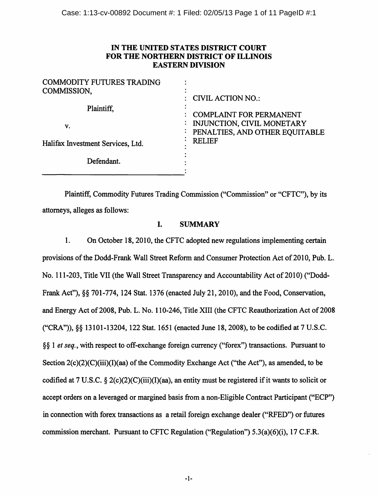# IN THE UNITED STATES DISTRICT COURT FOR THE NORTHERN DISTRICT OF ILLINOIS EASTERN DIVISION

| <b>COMMODITY FUTURES TRADING</b><br>COMMISSION, | $\colon$ CIVIL ACTION NO.:                                                                     |
|-------------------------------------------------|------------------------------------------------------------------------------------------------|
| Plaintiff,<br>v.                                | <b>COMPLAINT FOR PERMANENT</b><br>INJUNCTION, CIVIL MONETARY<br>PENALTIES, AND OTHER EQUITABLE |
| Halifax Investment Services, Ltd.               | <b>RELIEF</b>                                                                                  |
| Defendant.                                      |                                                                                                |

Plaintiff, Commodity Futures Trading Commission ("Commission" or "CFTC"), by its attorneys, alleges as follows:

# I. SUMMARY

1. On October 18, 2010, the CFTC adopted new regulations implementing certain provisions of the Dodd-Frank Wall Street Reform and Consumer Protection Act of 2010, Pub. L. No. 111-203, Title VII (the Wall Street Transparency and Accountability Act of 2010) ("Dodd-Frank Act"),§§ 70I-774, I24 Stat. I376 (enacted July 2I, 20IO), and the Food, Conservation, and Energy Act of 2008, Pub. L. No. 110-246, Title XIII (the CFTC Reauthorization Act of 2008 ("CRA")), §§ I3IOI-I3204, I22 Stat. I65I (enacted June I8, 2008), to be codified at 7 U.S.C. § § I *et seq.,* with respect to off-exchange foreign currency ("forex") transactions. Pursuant to Section 2(c)(2)(C)(iii)(I)(aa) of the Commodity Exchange Act ("the Act"), as amended, to be codified at 7 U.S.C. § 2(c)(2)(C)(iii)(I)(aa), an entity must be registered if it wants to solicit or accept orders on a leveraged or margined basis from a non-Eligible Contract Participant ("ECP") in connection with forex transactions as a retail foreign exchange dealer ("RFED") or futures commission merchant. Pursuant to CFTC Regulation ("Regulation") 5.3(a)(6)(i), I7 C.F.R.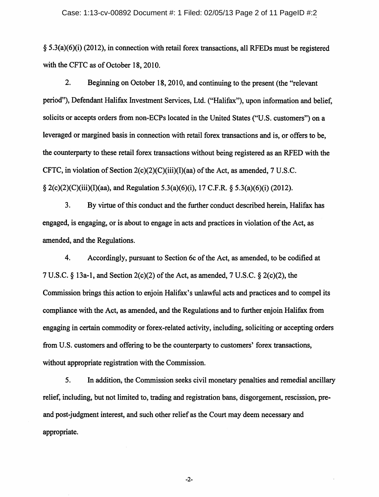#### Case: 1:13-cv-00892 Document #: 1 Filed: 02/05/13 Page 2 of 11 PageID #:2

§ 5.3(a)(6)(i) (2012), in connection with retail forex transactions, all RFEDs must be registered with the CFTC as of October 18, 2010.

2. Beginning on October 18,2010, and continuing to the present (the "relevant period"), Defendant Halifax Investment Services, Ltd. ("Halifax"), upon information and belief, solicits or accepts orders from non-ECPs located in the United States ("U.S. customers") on a leveraged or margined basis in connection with retail forex transactions and is, or offers to be, the counterparty to these retail forex transactions without being registered as an RFED with the CFTC, in violation of Section  $2(c)(2)(C)(iii)(I)(aa)$  of the Act, as amended, 7 U.S.C. § 2(c)(2)(C)(iii)(I)(aa), and Regulation 5.3(a)(6)(i), 17 C.F.R. § 5.3(a)(6)(i) (2012).

3. By virtue of this conduct and the further conduct described herein, Halifax has engaged, is engaging, or is about to engage in acts and practices in violation of the Act, as amended, and the Regulations.

4. Accordingly, pursuant to Section 6c of the Act, as amended, to be codified at 7 U.S.C. § 13a-1, and Section 2(c)(2) of the Act, as amended, 7 U.S.C. § 2(c)(2), the Commission brings this action to enjoin Halifax's unlawful acts and practices and to compel its compliance with the Act, as amended, and the Regulations and to further enjoin Halifax from engaging in certain commodity or forex-related activity, including, soliciting or accepting orders from U.S. customers and offering to be the counterparty to customers' forex transactions, without appropriate registration with the Commission.

5. In addition, the Commission seeks civil monetary penalties and remedial ancillary relief, including, but not limited to, trading and registration bans, disgorgement, rescission, preand post-judgment interest, and such other relief as the Court may deem necessary and appropriate.

-2-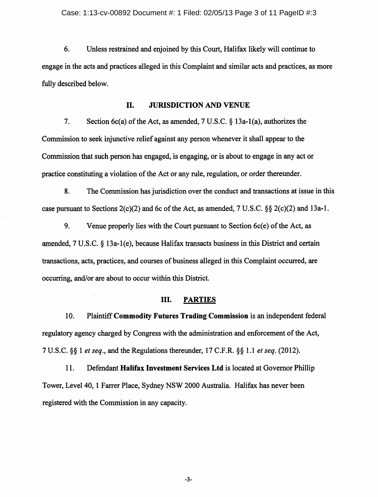6. Unless restrained and enjoined by this Court, Halifax likely will continue to engage in the acts and practices alleged in this Complaint and similar acts and practices, as more fully described below.

#### II. JURISDICTION AND VENUE

7. Section 6c(a) of the Act, as amended, 7 U.S.C. § 13a-1(a), authorizes the Commission to seek injunctive relief against any person whenever it shall appear to the Commission that such person has engaged, is engaging, or is about to engage in any act or practice constituting a violation of the Act or any rule, regulation, or order thereunder.

8. The Commission has jurisdiction over the conduct and transactions at issue in this case pursuant to Sections  $2(c)(2)$  and 6c of the Act, as amended, 7 U.S.C. §§  $2(c)(2)$  and 13a-1.

9. Venue properly lies with the Court pursuant to Section  $6c(e)$  of the Act, as amended, 7 U.S.C. § 13a-1(e), because Halifax transacts business in this District and certain transactions, acts, practices, and courses of business alleged in this Complaint occurred, are occurring, and/or are about to occur within this District.

## III. PARTIES

10. Plaintiff Commodity Futures Trading Commission is an independent federal regulatory agency charged by Congress with the administration and enforcement of the Act, 7 U.S.C. §§ 1 *et seq.,* and the Regulations thereunder, 17 C.P.R. §§ 1.1 *et seq.* (2012).

11. Defendant Halifax Investment Services Ltd is located at Governor Phillip Tower, Level40, 1 Farrer Place, Sydney NSW 2000 Australia. Halifax has never been registered with the Commission in any capacity.

-3-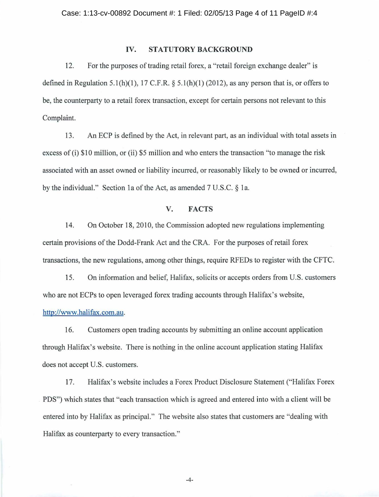### IV. **STATUTORY BACKGROUND**

12. For the purposes of trading retail forex, a "retail foreign exchange dealer" is defined in Regulation 5.1(h)(1), 17 C.F.R.  $\S$  5.1(h)(1) (2012), as any person that is, or offers to be, the counterparty to a retail forex transaction, except for certain persons not relevant to this Complaint.

13. An ECP is defined by the Act, in relevant part, as an individual with total assets in excess of (i) \$10 million, or (ii) \$5 million and who enters the transaction "to manage the risk associated with an asset owned or liability incurred, or reasonably likely to be owned or incurred, by the individual." Section 1a of the Act, as amended  $7 U.S.C. \$  1a.

## **V. FACTS**

14. On October 18, 2010, the Commission adopted new regulations implementing certain provisions of the Dodd-Frank Act and the CRA. For the purposes of retail forex transactions, the new regulations, among other things, require RFEDs to register with the CFTC.

15. On information and belief, Halifax, solicits or accepts orders from U.S. customers who are not ECPs to open leveraged forex trading accounts through Halifax's website, http://www.halifax.com.au.

16. Customers open trading accounts by submitting an online account application through Halifax's website. There is nothing in the online account application stating Halifax does not accept U.S. customers.

17. Halifax's website includes a Forex Product Disclosure Statement ("Halifax Forex PDS") which states that "each transaction which is agreed and entered into with a client will be entered into by Halifax as principal." The website also states that customers are "dealing with Halifax as counterparty to every transaction."

-4-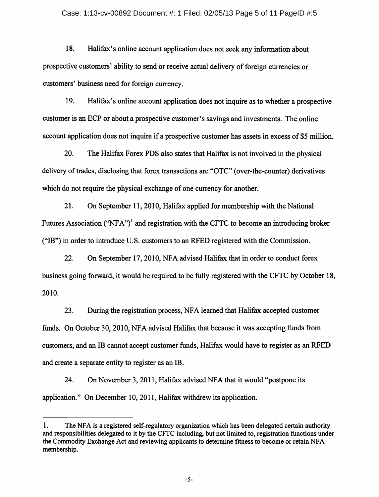#### Case: 1:13-cv-00892 Document #: 1 Filed: 02/05/13 Page 5 of 11 PageID #:5

18. Halifax's online account application does not seek any information about prospective customers' ability to send or receive actual delivery of foreign currencies or customers' business need for foreign currency.

19. Halifax's online account application does not inquire as to whether a prospective customer is an ECP or about a prospective customer's savings and investments. The online account application does not inquire if a prospective customer has assets in excess of \$5 million.

20. The Halifax Forex PDS also states that Halifax is not involved in the physical delivery of trades, disclosing that forex transactions are "OTC" (over-the-counter) derivatives which do not require the physical exchange of one currency for another.

21. On September 11,2010, Halifax applied for membership with the National Futures Association ("NFA")<sup>1</sup> and registration with the CFTC to become an introducing broker ("IB") in order to introduce U.S. customers to an RFED registered with the Commission.

22. On September 17, 2010, NFA advised Halifax that in order to conduct forex business going forward, it would be required to be fully registered with the CFTC by October 18, 2010.

23. During the registration process, NF A learned that Halifax accepted customer funds. On October 30, 2010, NFA advised Halifax that because it was accepting funds from customers, and an IB cannot accept customer funds, Halifax would have to register as an RFED and create a separate entity to register as an lB.

24. On November 3, 2011, Halifax advised NFA that it would "postpone its application." On December 10, 2011, Halifax withdrew its application.

<sup>1.</sup> The NFA is a registered self-regulatory organization which has been delegated certain authority and responsibilities delegated to it by the CFTC including, but not limited to, registration functions under the Commodity Exchange Act and reviewing applicants to determine fitness to become or retain NFA membership.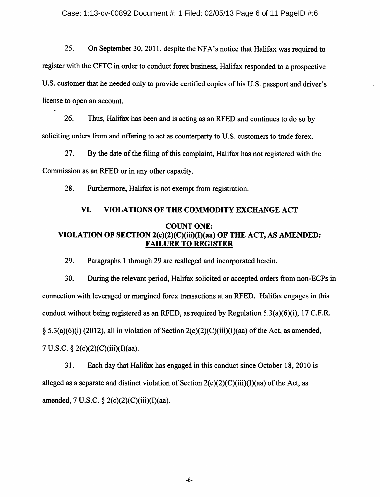25. On September 30,2011, despite the NFA's notice that Halifax was required to register with the CFTC in order to conduct forex business, Halifax responded to a prospective U.S. customer that he needed only to provide certified copies of his U.S. passport and driver's license to open an account.

26. Thus, Halifax has been and is acting as an RFED and continues to do so by soliciting orders from and offering to act as counterparty to U.S. customers to trade forex.

27. By the date of the filing of this complaint, Halifax has not registered with the Commission as an RFED or in any other capacity.

28. Furthermore, Halifax is not exempt from registration.

### VI. VIOLATIONS OF THE COMMODITY EXCHANGE ACT

# COUNT ONE: VIOLATION OF SECTION 2(c)(2)(C)(iii)(I)(aa) OF THE ACT, AS AMENDED: FAILURE TO REGISTER

29. Paragraphs I through 29 are realleged and incorporated herein.

30. During the relevant period, Halifax solicited or accepted orders from non-ECPs in connection with leveraged or margined forex transactions at an RFED. Halifax engages in this conduct without being registered as an RFED, as required by Regulation 5.3(a)(6)(i), 17 C.F.R.  $\S$  5.3(a)(6)(i) (2012), all in violation of Section 2(c)(2)(C)(iii)(I)(aa) of the Act, as amended, 7 U.S.C. § 2(c)(2)(C)(iii)(l)(aa).

31. Each day that Halifax has engaged in this conduct since October 18,2010 is alleged as a separate and distinct violation of Section  $2(c)(2)(C)(iii)(I)(aa)$  of the Act, as amended, 7 U.S.C. § 2(c)(2)(C)(iii)(I)(aa).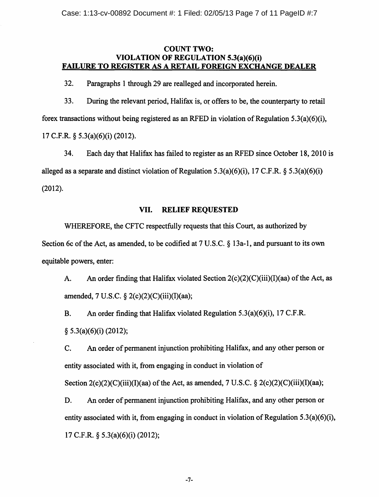## COUNT TWO: VIOLATION OF REGULATION 5.3(a)(6)(i) FAILURE TO REGISTER AS A RETAIL FOREIGN EXCHANGE DEALER

32. Paragraphs 1 through 29 are realleged and incorporated herein.

33. During the relevant period, Halifax is, or offers to be, the counterparty to retail forex transactions without being registered as an RFED in violation of Regulation 5.3(a)(6)(i), 17 C.F.R. § 5.3(a)(6)(i) (2012).

34. Each day that Halifax has failed to register as an RFED since October 18, 2010 is alleged as a separate and distinct violation of Regulation 5.3(a)(6)(i), 17 C.F.R.  $\delta$  5.3(a)(6)(i) (2012).

## VII. RELIEF REQUESTED

WHEREFORE, the CFTC respectfully requests that this Court, as authorized by Section 6c of the Act, as amended, to be codified at 7 U.S.C. § 13a-1, and pursuant to its own equitable powers, enter:

A. An order finding that Halifax violated Section  $2(c)(2)(C)(iii)(I)(aa)$  of the Act, as amended, 7 U.S.C. § 2(c)(2)(C)(iii)(I)(aa);

B. An order finding that Halifax violated Regulation 5.3(a)(6)(i), 17 C.F.R.  $§ 5.3(a)(6)(i) (2012);$ 

C. An order of permanent injunction prohibiting Halifax, and any other person or entity associated with it, from engaging in conduct in violation of

Section  $2(c)(2)(C)(iii)(I)(aa)$  of the Act, as amended, 7 U.S.C. §  $2(c)(2)(C)(iii)(I)(aa);$ 

D. An order of permanent injunction prohibiting Halifax, and any other person or entity associated with it, from engaging in conduct in violation of Regulation 5.3(a)(6)(i), 17 C.F.R. § 5.3(a)(6)(i) (2012);

-7-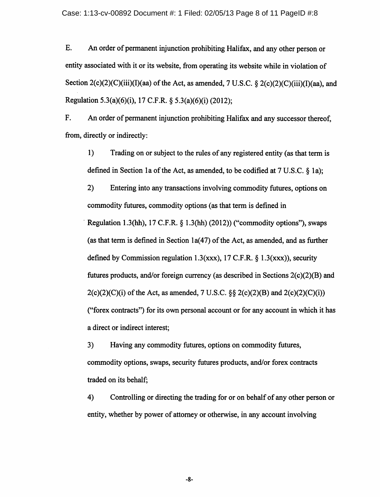E. An order of permanent injunction prohibiting Halifax, and any other person or entity associated with it or its website, from operating its website while in violation of Section  $2(c)(2)(C)(iii)(I)(aa)$  of the Act, as amended, 7 U.S.C. §  $2(c)(2)(C)(iii)(I)(aa)$ , and Regulation 5.3(a)(6)(i), 17 C.F.R. § 5.3(a)(6)(i) (2012);

F. An order of permanent injunction prohibiting Halifax and any successor thereof, from, directly or indirectly:

1) Trading on or subject to the rules of any registered entity (as that term is defined in Section 1a of the Act, as amended, to be codified at 7 U.S.C. § 1a);

2) Entering into any transactions involving commodity futures, options on commodity futures, commodity options (as that term is defined in Regulation 1.3(hh), 17 C.F.R.  $\S$  1.3(hh) (2012)) ("commodity options"), swaps (as that term is defined in Section  $1a(47)$  of the Act, as amended, and as further defined by Commission regulation 1.3(xxx), 17 C.F.R.  $\S$  1.3(xxx)), security futures products, and/or foreign currency (as described in Sections 2(c)(2)(B) and  $2(c)(2)(C)(i)$  of the Act, as amended, 7 U.S.C.  $\&$   $2(c)(2)(B)$  and  $2(c)(2)(C)(i)$ ("forex contracts") for its own personal account or for any account in which it has a direct or indirect interest;

3) Having any commodity futures, options on commodity futures, commodity options, swaps, security futures products, and/or forex contracts traded on its behalf;

4) Controlling or directing the trading for or on behalf of any other person or entity, whether by power of attorney or otherwise, in any account involving

-8-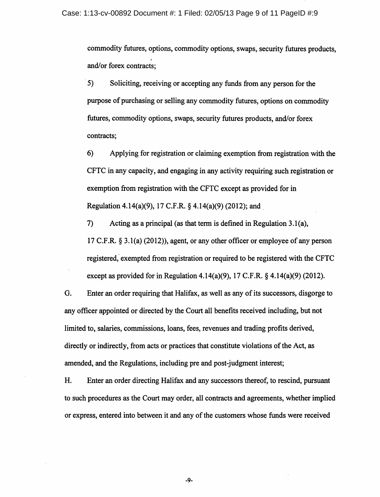commodity futures, options, commodity options, swaps, security futures products, I and/or forex contracts;

5) Soliciting, receiving or accepting any funds from any person for the purpose of purchasing or selling any commodity futures, options on commodity futures, commodity options, swaps, security futures products, and/or forex contracts;

6) Applying for registration or claiming exemption from registration with the CFTC in any capacity, and engaging in any activity requiring such registration or exemption from registration with the CFTC except as provided for in Regulation 4.14(a)(9), 17 C.F.R. § 4.14(a)(9) (2012); and.

7) Acting as a principal (as that term is defined in Regulation 3.1(a), 17 C.F.R.  $\S 3.1(a)$  (2012)), agent, or any other officer or employee of any person registered; exempted from registration or required to be registered with the CFTC except as provided for in Regulation 4.14(a)(9), 17 C.F.R.  $\S$  4.14(a)(9) (2012).

G. Enter an order requiring that Halifax, as well as any of its successors, disgorge to any officer appointed or directed by the Court all benefits received including, but not limited to, salaries, commissions, loans, fees, revenues and trading profits derived, directly or indirectly, from acts or practices that constitute violations of the Act, as amended, and the Regulations, including pre and post-judgment interest;

H. Enter an order directing Halifax and any successors thereof, to rescind, pursuant to such procedures as the Court may order, all contracts and agreements, whether implied or express, entered into between it and any of the customers whose funds were received

-9-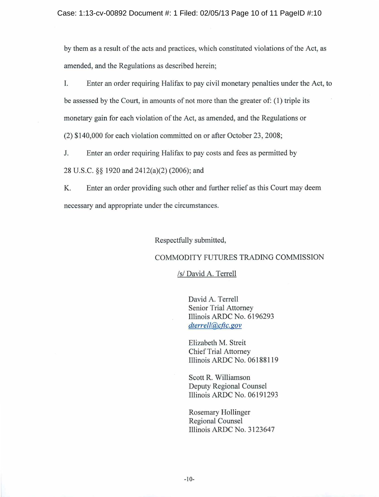by them as a result of the acts and practices, which constituted violations of the Act, as amended, and the Regulations as described herein;

I. Enter an order requiring Halifax to pay civil monetary penalties under the Act, to be assessed by the Court, in amounts of not more than the greater of: (1) triple its monetary gain for each violation of the Act, as amended, and the Regulations or (2) \$140,000 for each violation committed on or after October 23, 2008;

J. Enter an order requiring Halifax to pay costs and fees as permitted by

28 U.S.C. §§ 1920 and 2412(a)(2) (2006); and

K. Enter an order providing such other and further relief as this Court may deem necessary and appropriate under the circumstances.

Respectfully submitted,

### COMMODITY FUTURES TRADING COMMISSION

### /s/ David A. Terrell

David A. Terrell Senior Trial Attorney Illinois ARDC No. 6196293 *dterrell@cftc.gov* 

Elizabeth M. Streit Chief Trial Attorney Illinois ARDC No. 06188119

Scott R. Williamson Deputy Regional Counsel Illinois ARDC No. 06191293

Rosemary Hollinger Regional Counsel Illinois ARDC No. 31 23647